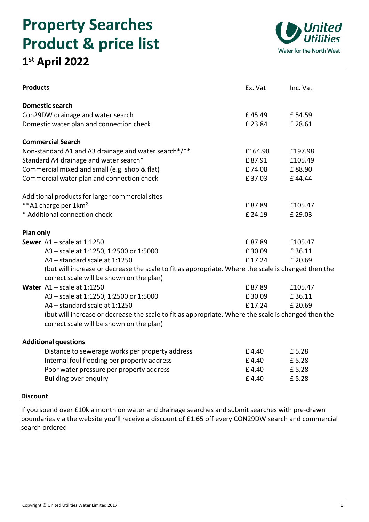# **Property Searches Product & price list**





| <b>Products</b>                                                                                     | Ex. Vat | Inc. Vat |
|-----------------------------------------------------------------------------------------------------|---------|----------|
| <b>Domestic search</b>                                                                              |         |          |
| Con29DW drainage and water search                                                                   | £45.49  | £54.59   |
| Domestic water plan and connection check                                                            | £ 23.84 | £28.61   |
| <b>Commercial Search</b>                                                                            |         |          |
| Non-standard A1 and A3 drainage and water search*/**                                                | £164.98 | £197.98  |
| Standard A4 drainage and water search*                                                              | £87.91  | £105.49  |
| Commercial mixed and small (e.g. shop & flat)                                                       | £74.08  | £88.90   |
| Commercial water plan and connection check                                                          | £37.03  | £44.44   |
| Additional products for larger commercial sites                                                     |         |          |
| **A1 charge per 1km <sup>2</sup>                                                                    | £87.89  | £105.47  |
| * Additional connection check                                                                       | £ 24.19 | £29.03   |
| Plan only                                                                                           |         |          |
| Sewer $A1 - scale$ at 1:1250                                                                        | £87.89  | £105.47  |
| A3 - scale at 1:1250, 1:2500 or 1:5000                                                              | £30.09  | £36.11   |
| A4 - standard scale at 1:1250                                                                       | £17.24  | £ 20.69  |
| (but will increase or decrease the scale to fit as appropriate. Where the scale is changed then the |         |          |
| correct scale will be shown on the plan)                                                            |         |          |
| Water $A1 - scale$ at 1:1250                                                                        | £87.89  | £105.47  |
| A3 - scale at 1:1250, 1:2500 or 1:5000                                                              | £30.09  | £36.11   |
| A4 - standard scale at 1:1250                                                                       | £17.24  | £ 20.69  |
| (but will increase or decrease the scale to fit as appropriate. Where the scale is changed then the |         |          |
| correct scale will be shown on the plan)                                                            |         |          |
| <b>Additional questions</b>                                                                         |         |          |
| Distance to sewerage works per property address                                                     | £4.40   | £5.28    |
| Internal foul flooding per property address                                                         | £4.40   | £5.28    |
| Poor water pressure per property address                                                            | £4.40   | £5.28    |
| Building over enquiry                                                                               | £4.40   | £5.28    |

# **Discount**

If you spend over £10k a month on water and drainage searches and submit searches with pre-drawn boundaries via the website you'll receive a discount of £1.65 off every CON29DW search and commercial search ordered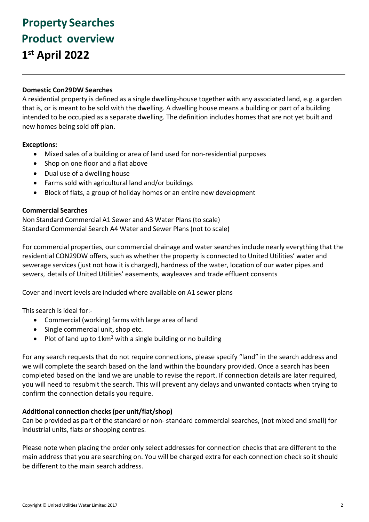# **Property Searches Product overview 1 st April 2022**

## **Domestic Con29DW Searches**

A residential property is defined as a single dwelling-house together with any associated land, e.g. a garden that is, or is meant to be sold with the dwelling. A dwelling house means a building or part of a building intended to be occupied as a separate dwelling. The definition includes homes that are not yet built and new homes being sold off plan.

## **Exceptions:**

- Mixed sales of a building or area of land used for non-residential purposes
- Shop on one floor and a flat above
- Dual use of a dwelling house
- Farms sold with agricultural land and/or buildings
- Block of flats, a group of holiday homes or an entire new development

#### **Commercial Searches**

Non Standard Commercial A1 Sewer and A3 Water Plans (to scale) Standard Commercial Search A4 Water and Sewer Plans (not to scale)

For commercial properties, our commercial drainage and water searches include nearly everything that the residential CON29DW offers, such as whether the property is connected to United Utilities' water and sewerage services (just not how it is charged), hardness of the water, location of our water pipes and sewers, details of United Utilities' easements, wayleaves and trade effluent consents

Cover and invert levels are included where available on A1 sewer plans

This search is ideal for:-

- Commercial (working) farms with large area of land
- Single commercial unit, shop etc.
- Plot of land up to 1km<sup>2</sup> with a single building or no building

For any search requests that do not require connections, please specify "land" in the search address and we will complete the search based on the land within the boundary provided. Once a search has been completed based on the land we are unable to revise the report. If connection details are later required, you will need to resubmit the search. This will prevent any delays and unwanted contacts when trying to confirm the connection details you require.

#### **Additional connection checks(per unit/flat/shop)**

Can be provided as part of the standard or non- standard commercial searches, (not mixed and small) for industrial units, flats or shopping centres.

Please note when placing the order only select addresses for connection checks that are different to the main address that you are searching on. You will be charged extra for each connection check so it should be different to the main search address.